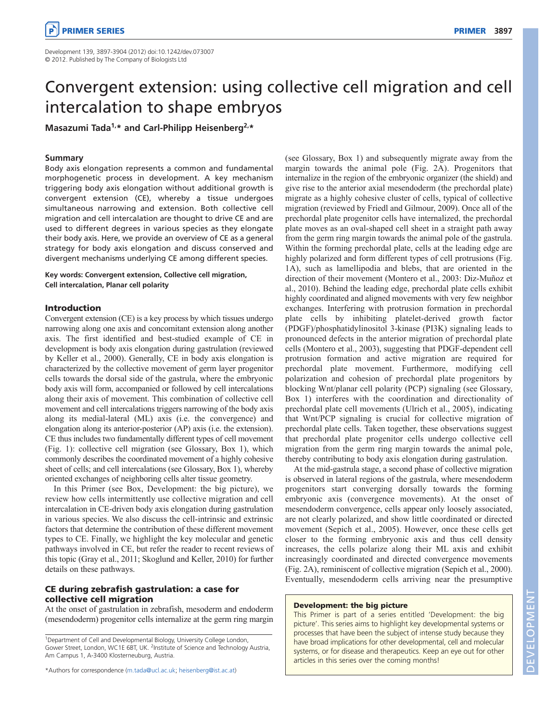# Convergent extension: using collective cell migration and cell intercalation to shape embryos

**Masazumi Tada1,\* and Carl-Philipp Heisenberg2,\***

## **Summary**

Body axis elongation represents a common and fundamental morphogenetic process in development. A key mechanism triggering body axis elongation without additional growth is convergent extension (CE), whereby a tissue undergoes simultaneous narrowing and extension. Both collective cell migration and cell intercalation are thought to drive CE and are used to different degrees in various species as they elongate their body axis. Here, we provide an overview of CE as a general strategy for body axis elongation and discuss conserved and divergent mechanisms underlying CE among different species.

**Key words: Convergent extension, Collective cell migration, Cell intercalation, Planar cell polarity**

## **Introduction**

Convergent extension (CE) is a key process by which tissues undergo narrowing along one axis and concomitant extension along another axis. The first identified and best-studied example of CE in development is body axis elongation during gastrulation (reviewed by Keller et al., 2000). Generally, CE in body axis elongation is characterized by the collective movement of germ layer progenitor cells towards the dorsal side of the gastrula, where the embryonic body axis will form, accompanied or followed by cell intercalations along their axis of movement. This combination of collective cell movement and cell intercalations triggers narrowing of the body axis along its medial-lateral (ML) axis (i.e. the convergence) and elongation along its anterior-posterior (AP) axis (i.e. the extension). CE thus includes two fundamentally different types of cell movement (Fig. 1): collective cell migration (see Glossary, Box 1), which commonly describes the coordinated movement of a highly cohesive sheet of cells; and cell intercalations (see Glossary, Box 1), whereby oriented exchanges of neighboring cells alter tissue geometry.

In this Primer (see Box, Development: the big picture), we review how cells intermittently use collective migration and cell intercalation in CE-driven body axis elongation during gastrulation in various species. We also discuss the cell-intrinsic and extrinsic factors that determine the contribution of these different movement types to CE. Finally, we highlight the key molecular and genetic pathways involved in CE, but refer the reader to recent reviews of this topic (Gray et al., 2011; Skoglund and Keller, 2010) for further details on these pathways.

# **CE during zebrafish gastrulation: a case for collective cell migration**

At the onset of gastrulation in zebrafish, mesoderm and endoderm (mesendoderm) progenitor cells internalize at the germ ring margin

<sup>1</sup>Department of Cell and Developmental Biology, University College London, Gower Street, London, WC1E 6BT, UK. 2Institute of Science and Technology Austria, Am Campus 1, A-3400 Klosterneuburg, Austria.

\*Authors for correspondence (m.tada@ucl.ac.uk; heisenberg@ist.ac.at)

(see Glossary, Box 1) and subsequently migrate away from the margin towards the animal pole (Fig. 2A). Progenitors that internalize in the region of the embryonic organizer (the shield) and give rise to the anterior axial mesendoderm (the prechordal plate) migrate as a highly cohesive cluster of cells, typical of collective migration (reviewed by Friedl and Gilmour, 2009). Once all of the prechordal plate progenitor cells have internalized, the prechordal plate moves as an oval-shaped cell sheet in a straight path away from the germ ring margin towards the animal pole of the gastrula. Within the forming prechordal plate, cells at the leading edge are highly polarized and form different types of cell protrusions (Fig. 1A), such as lamellipodia and blebs, that are oriented in the direction of their movement (Montero et al., 2003: Diz-Muñoz et al., 2010). Behind the leading edge, prechordal plate cells exhibit highly coordinated and aligned movements with very few neighbor exchanges. Interfering with protrusion formation in prechordal plate cells by inhibiting platelet-derived growth factor (PDGF)/phosphatidylinositol 3-kinase (PI3K) signaling leads to pronounced defects in the anterior migration of prechordal plate cells (Montero et al., 2003), suggesting that PDGF-dependent cell protrusion formation and active migration are required for prechordal plate movement. Furthermore, modifying cell polarization and cohesion of prechordal plate progenitors by blocking Wnt/planar cell polarity (PCP) signaling (see Glossary, Box 1) interferes with the coordination and directionality of prechordal plate cell movements (Ulrich et al., 2005), indicating that Wnt/PCP signaling is crucial for collective migration of prechordal plate cells. Taken together, these observations suggest that prechordal plate progenitor cells undergo collective cell migration from the germ ring margin towards the animal pole, thereby contributing to body axis elongation during gastrulation.

At the mid-gastrula stage, a second phase of collective migration is observed in lateral regions of the gastrula, where mesendoderm progenitors start converging dorsally towards the forming embryonic axis (convergence movements). At the onset of mesendoderm convergence, cells appear only loosely associated, are not clearly polarized, and show little coordinated or directed movement (Sepich et al., 2005). However, once these cells get closer to the forming embryonic axis and thus cell density increases, the cells polarize along their ML axis and exhibit increasingly coordinated and directed convergence movements (Fig. 2A), reminiscent of collective migration (Sepich et al., 2000). Eventually, mesendoderm cells arriving near the presumptive

#### **Development: the big picture**

This Primer is part of a series entitled 'Development: the big picture'. This series aims to highlight key developmental systems or processes that have been the subject of intense study because they have broad implications for other developmental, cell and molecular systems, or for disease and therapeutics. Keep an eye out for other articles in this series over the coming months!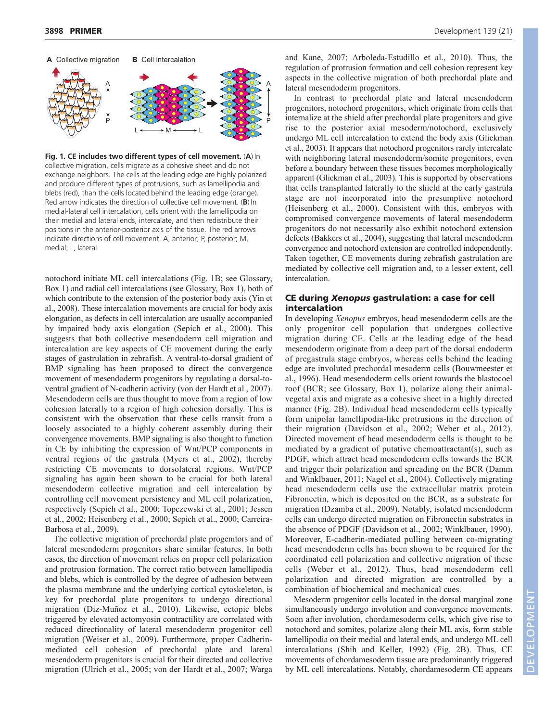

**Fig. 1. CE includes two different types of cell movement.** (**A**) In collective migration, cells migrate as a cohesive sheet and do not exchange neighbors. The cells at the leading edge are highly polarized and produce different types of protrusions, such as lamellipodia and blebs (red), than the cells located behind the leading edge (orange). Red arrow indicates the direction of collective cell movement. (**B**) In medial-lateral cell intercalation, cells orient with the lamellipodia on their medial and lateral ends, intercalate, and then redistribute their positions in the anterior-posterior axis of the tissue. The red arrows indicate directions of cell movement. A, anterior; P, posterior; M, medial; L, lateral.

notochord initiate ML cell intercalations (Fig. 1B; see Glossary, Box 1) and radial cell intercalations (see Glossary, Box 1), both of which contribute to the extension of the posterior body axis (Yin et al., 2008). These intercalation movements are crucial for body axis elongation, as defects in cell intercalation are usually accompanied by impaired body axis elongation (Sepich et al., 2000). This suggests that both collective mesendoderm cell migration and intercalation are key aspects of CE movement during the early stages of gastrulation in zebrafish. A ventral-to-dorsal gradient of BMP signaling has been proposed to direct the convergence movement of mesendoderm progenitors by regulating a dorsal-toventral gradient of N-cadherin activity (von der Hardt et al., 2007). Mesendoderm cells are thus thought to move from a region of low cohesion laterally to a region of high cohesion dorsally. This is consistent with the observation that these cells transit from a loosely associated to a highly coherent assembly during their convergence movements. BMP signaling is also thought to function in CE by inhibiting the expression of Wnt/PCP components in ventral regions of the gastrula (Myers et al., 2002), thereby restricting CE movements to dorsolateral regions. Wnt/PCP signaling has again been shown to be crucial for both lateral mesendoderm collective migration and cell intercalation by controlling cell movement persistency and ML cell polarization, respectively (Sepich et al., 2000; Topczewski et al., 2001; Jessen et al., 2002; Heisenberg et al., 2000; Sepich et al., 2000; Carreira-Barbosa et al., 2009).

The collective migration of prechordal plate progenitors and of lateral mesendoderm progenitors share similar features. In both cases, the direction of movement relies on proper cell polarization and protrusion formation. The correct ratio between lamellipodia and blebs, which is controlled by the degree of adhesion between the plasma membrane and the underlying cortical cytoskeleton, is key for prechordal plate progenitors to undergo directional migration (Diz-Muñoz et al., 2010). Likewise, ectopic blebs triggered by elevated actomyosin contractility are correlated with reduced directionality of lateral mesendoderm progenitor cell migration (Weiser et al., 2009). Furthermore, proper Cadherinmediated cell cohesion of prechordal plate and lateral mesendoderm progenitors is crucial for their directed and collective migration (Ulrich et al., 2005; von der Hardt et al., 2007; Warga and Kane, 2007; Arboleda-Estudillo et al., 2010). Thus, the regulation of protrusion formation and cell cohesion represent key aspects in the collective migration of both prechordal plate and lateral mesendoderm progenitors.

In contrast to prechordal plate and lateral mesendoderm progenitors, notochord progenitors, which originate from cells that internalize at the shield after prechordal plate progenitors and give rise to the posterior axial mesoderm/notochord, exclusively undergo ML cell intercalation to extend the body axis (Glickman et al., 2003). It appears that notochord progenitors rarely intercalate with neighboring lateral mesendoderm/somite progenitors, even before a boundary between these tissues becomes morphologically apparent (Glickman et al., 2003). This is supported by observations that cells transplanted laterally to the shield at the early gastrula stage are not incorporated into the presumptive notochord (Heisenberg et al., 2000). Consistent with this, embryos with compromised convergence movements of lateral mesendoderm progenitors do not necessarily also exhibit notochord extension defects (Bakkers et al., 2004), suggesting that lateral mesendoderm convergence and notochord extension are controlled independently. Taken together, CE movements during zebrafish gastrulation are mediated by collective cell migration and, to a lesser extent, cell intercalation.

## **CE during** *Xenopus* **gastrulation: a case for cell intercalation**

In developing *Xenopus* embryos, head mesendoderm cells are the only progenitor cell population that undergoes collective migration during CE. Cells at the leading edge of the head mesendoderm originate from a deep part of the dorsal endoderm of pregastrula stage embryos, whereas cells behind the leading edge are involuted prechordal mesoderm cells (Bouwmeester et al., 1996). Head mesendoderm cells orient towards the blastocoel roof (BCR; see Glossary, Box 1), polarize along their animalvegetal axis and migrate as a cohesive sheet in a highly directed manner (Fig. 2B). Individual head mesendoderm cells typically form unipolar lamellipodia-like protrusions in the direction of their migration (Davidson et al., 2002; Weber et al., 2012). Directed movement of head mesendoderm cells is thought to be mediated by a gradient of putative chemoattractant(s), such as PDGF, which attract head mesendoderm cells towards the BCR and trigger their polarization and spreading on the BCR (Damm and Winklbauer, 2011; Nagel et al., 2004). Collectively migrating head mesendoderm cells use the extracellular matrix protein Fibronectin, which is deposited on the BCR, as a substrate for migration (Dzamba et al., 2009). Notably, isolated mesendoderm cells can undergo directed migration on Fibronectin substrates in the absence of PDGF (Davidson et al., 2002; Winklbauer, 1990). Moreover, E-cadherin-mediated pulling between co-migrating head mesendoderm cells has been shown to be required for the coordinated cell polarization and collective migration of these cells (Weber et al., 2012). Thus, head mesendoderm cell polarization and directed migration are controlled by a combination of biochemical and mechanical cues.

Mesoderm progenitor cells located in the dorsal marginal zone simultaneously undergo involution and convergence movements. Soon after involution, chordamesoderm cells, which give rise to notochord and somites, polarize along their ML axis, form stable lamellipodia on their medial and lateral ends, and undergo ML cell intercalations (Shih and Keller, 1992) (Fig. 2B). Thus, CE movements of chordamesoderm tissue are predominantly triggered by ML cell intercalations. Notably, chordamesoderm CE appears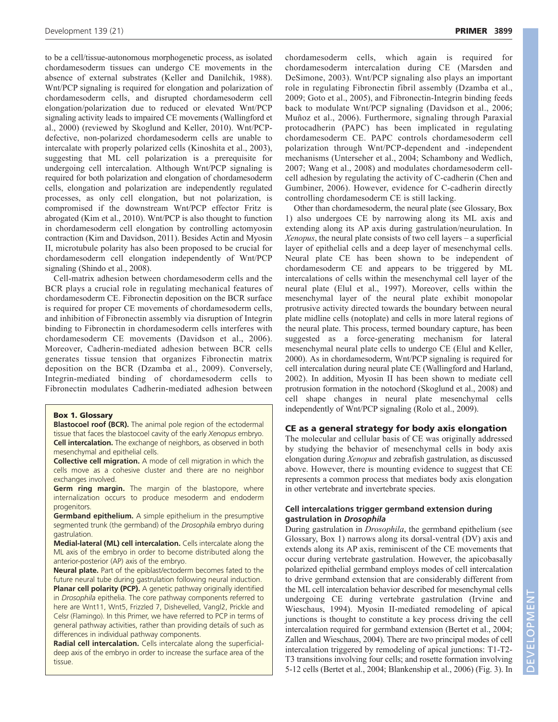to be a cell/tissue-autonomous morphogenetic process, as isolated chordamesoderm tissues can undergo CE movements in the absence of external substrates (Keller and Danilchik, 1988). Wnt/PCP signaling is required for elongation and polarization of chordamesoderm cells, and disrupted chordamesoderm cell elongation/polarization due to reduced or elevated Wnt/PCP signaling activity leads to impaired CE movements (Wallingford et al., 2000) (reviewed by Skoglund and Keller, 2010). Wnt/PCPdefective, non-polarized chordamesoderm cells are unable to intercalate with properly polarized cells (Kinoshita et al., 2003), suggesting that ML cell polarization is a prerequisite for undergoing cell intercalation. Although Wnt/PCP signaling is required for both polarization and elongation of chordamesoderm cells, elongation and polarization are independently regulated processes, as only cell elongation, but not polarization, is compromised if the downstream Wnt/PCP effector Fritz is abrogated (Kim et al., 2010). Wnt/PCP is also thought to function in chordamesoderm cell elongation by controlling actomyosin contraction (Kim and Davidson, 2011). Besides Actin and Myosin II, microtubule polarity has also been proposed to be crucial for chordamesoderm cell elongation independently of Wnt/PCP signaling (Shindo et al., 2008).

Cell-matrix adhesion between chordamesoderm cells and the BCR plays a crucial role in regulating mechanical features of chordamesoderm CE. Fibronectin deposition on the BCR surface is required for proper CE movements of chordamesoderm cells, and inhibition of Fibronectin assembly via disruption of Integrin binding to Fibronectin in chordamesoderm cells interferes with chordamesoderm CE movements (Davidson et al., 2006). Moreover, Cadherin-mediated adhesion between BCR cells generates tissue tension that organizes Fibronectin matrix deposition on the BCR (Dzamba et al., 2009). Conversely, Integrin-mediated binding of chordamesoderm cells to Fibronectin modulates Cadherin-mediated adhesion between

#### **Box 1. Glossary**

**Blastocoel roof (BCR).** The animal pole region of the ectodermal tissue that faces the blastocoel cavity of the early *Xenopus* embryo. **Cell intercalation.** The exchange of neighbors, as observed in both mesenchymal and epithelial cells.

**Collective cell migration.** A mode of cell migration in which the cells move as a cohesive cluster and there are no neighbor exchanges involved.

**Germ ring margin.** The margin of the blastopore, where internalization occurs to produce mesoderm and endoderm progenitors.

**Germband epithelium.** A simple epithelium in the presumptive segmented trunk (the germband) of the *Drosophila* embryo during gastrulation.

**Medial-lateral (ML) cell intercalation.** Cells intercalate along the ML axis of the embryo in order to become distributed along the anterior-posterior (AP) axis of the embryo.

**Neural plate.** Part of the epiblast/ectoderm becomes fated to the future neural tube during gastrulation following neural induction.

**Planar cell polarity (PCP).** A genetic pathway originally identified in *Drosophila* epithelia. The core pathway components referred to here are Wnt11, Wnt5, Frizzled 7, Dishevelled, Vangl2, Prickle and Celsr (Flamingo). In this Primer, we have referred to PCP in terms of general pathway activities, rather than providing details of such as differences in individual pathway components.

**Radial cell intercalation.** Cells intercalate along the superficialdeep axis of the embryo in order to increase the surface area of the tissue.

chordamesoderm cells, which again is required for chordamesoderm intercalation during CE (Marsden and DeSimone, 2003). Wnt/PCP signaling also plays an important role in regulating Fibronectin fibril assembly (Dzamba et al., 2009; Goto et al., 2005), and Fibronectin-Integrin binding feeds back to modulate Wnt/PCP signaling (Davidson et al., 2006; Muñoz et al., 2006). Furthermore, signaling through Paraxial protocadherin (PAPC) has been implicated in regulating chordamesoderm CE. PAPC controls chordamesoderm cell polarization through Wnt/PCP-dependent and -independent mechanisms (Unterseher et al., 2004; Schambony and Wedlich, 2007; Wang et al., 2008) and modulates chordamesoderm cellcell adhesion by regulating the activity of C-cadherin (Chen and Gumbiner, 2006). However, evidence for C-cadherin directly controlling chordamesoderm CE is still lacking.

Other than chordamesoderm, the neural plate (see Glossary, Box 1) also undergoes CE by narrowing along its ML axis and extending along its AP axis during gastrulation/neurulation. In *Xenopus*, the neural plate consists of two cell layers – a superficial layer of epithelial cells and a deep layer of mesenchymal cells. Neural plate CE has been shown to be independent of chordamesoderm CE and appears to be triggered by ML intercalations of cells within the mesenchymal cell layer of the neural plate (Elul et al., 1997). Moreover, cells within the mesenchymal layer of the neural plate exhibit monopolar protrusive activity directed towards the boundary between neural plate midline cells (notoplate) and cells in more lateral regions of the neural plate. This process, termed boundary capture, has been suggested as a force-generating mechanism for lateral mesenchymal neural plate cells to undergo CE (Elul and Keller, 2000). As in chordamesoderm, Wnt/PCP signaling is required for cell intercalation during neural plate CE (Wallingford and Harland, 2002). In addition, Myosin II has been shown to mediate cell protrusion formation in the notochord (Skoglund et al., 2008) and cell shape changes in neural plate mesenchymal cells independently of Wnt/PCP signaling (Rolo et al., 2009).

# **CE as a general strategy for body axis elongation**

The molecular and cellular basis of CE was originally addressed by studying the behavior of mesenchymal cells in body axis elongation during *Xenopus* and zebrafish gastrulation, as discussed above. However, there is mounting evidence to suggest that CE represents a common process that mediates body axis elongation in other vertebrate and invertebrate species.

## **Cell intercalations trigger germband extension during gastrulation in** *Drosophila*

During gastrulation in *Drosophila*, the germband epithelium (see Glossary, Box 1) narrows along its dorsal-ventral (DV) axis and extends along its AP axis, reminiscent of the CE movements that occur during vertebrate gastrulation. However, the apicobasally polarized epithelial germband employs modes of cell intercalation to drive germband extension that are considerably different from the ML cell intercalation behavior described for mesenchymal cells undergoing CE during vertebrate gastrulation (Irvine and Wieschaus, 1994). Myosin II-mediated remodeling of apical junctions is thought to constitute a key process driving the cell intercalation required for germband extension (Bertet et al., 2004; Zallen and Wieschaus, 2004). There are two principal modes of cell intercalation triggered by remodeling of apical junctions: T1-T2- T3 transitions involving four cells; and rosette formation involving 5-12 cells (Bertet et al., 2004; Blankenship et al., 2006) (Fig. 3). In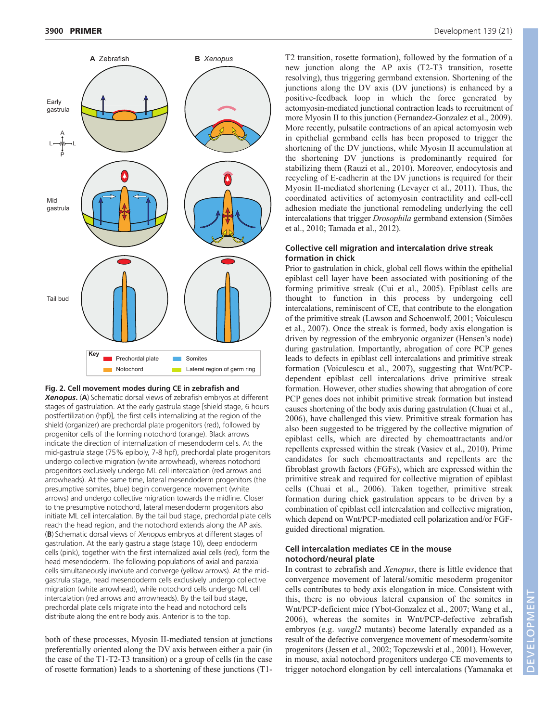

# **Fig. 2. Cell movement modes during CE in zebrafish and**

*Xenopus***.** (**A**) Schematic dorsal views of zebrafish embryos at different stages of gastrulation. At the early gastrula stage [shield stage, 6 hours postfertilization (hpf)], the first cells internalizing at the region of the shield (organizer) are prechordal plate progenitors (red), followed by progenitor cells of the forming notochord (orange). Black arrows indicate the direction of internalization of mesendoderm cells. At the mid-gastrula stage (75% epiboly, 7-8 hpf), prechordal plate progenitors undergo collective migration (white arrowhead), whereas notochord progenitors exclusively undergo ML cell intercalation (red arrows and arrowheads). At the same time, lateral mesendoderm progenitors (the presumptive somites, blue) begin convergence movement (white arrows) and undergo collective migration towards the midline. Closer to the presumptive notochord, lateral mesendoderm progenitors also initiate ML cell intercalation. By the tail bud stage, prechordal plate cells reach the head region, and the notochord extends along the AP axis. (**B**) Schematic dorsal views of *Xenopus* embryos at different stages of gastrulation. At the early gastrula stage (stage 10), deep endoderm cells (pink), together with the first internalized axial cells (red), form the head mesendoderm. The following populations of axial and paraxial cells simultaneously involute and converge (yellow arrows). At the midgastrula stage, head mesendoderm cells exclusively undergo collective migration (white arrowhead), while notochord cells undergo ML cell intercalation (red arrows and arrowheads). By the tail bud stage, prechordal plate cells migrate into the head and notochord cells distribute along the entire body axis. Anterior is to the top.

both of these processes, Myosin II-mediated tension at junctions preferentially oriented along the DV axis between either a pair (in the case of the T1-T2-T3 transition) or a group of cells (in the case of rosette formation) leads to a shortening of these junctions (T1T2 transition, rosette formation), followed by the formation of a new junction along the AP axis (T2-T3 transition, rosette resolving), thus triggering germband extension. Shortening of the junctions along the DV axis (DV junctions) is enhanced by a positive-feedback loop in which the force generated by actomyosin-mediated junctional contraction leads to recruitment of more Myosin II to this junction (Fernandez-Gonzalez et al., 2009). More recently, pulsatile contractions of an apical actomyosin web in epithelial germband cells has been proposed to trigger the shortening of the DV junctions, while Myosin II accumulation at the shortening DV junctions is predominantly required for stabilizing them (Rauzi et al., 2010). Moreover, endocytosis and recycling of E-cadherin at the DV junctions is required for their Myosin II-mediated shortening (Levayer et al., 2011). Thus, the coordinated activities of actomyosin contractility and cell-cell adhesion mediate the junctional remodeling underlying the cell intercalations that trigger *Drosophila* germband extension (Simões et al., 2010; Tamada et al., 2012).

# **Collective cell migration and intercalation drive streak formation in chick**

Prior to gastrulation in chick, global cell flows within the epithelial epiblast cell layer have been associated with positioning of the forming primitive streak (Cui et al., 2005). Epiblast cells are thought to function in this process by undergoing cell intercalations, reminiscent of CE, that contribute to the elongation of the primitive streak (Lawson and Schoenwolf, 2001; Voiculescu et al., 2007). Once the streak is formed, body axis elongation is driven by regression of the embryonic organizer (Hensen's node) during gastrulation. Importantly, abrogation of core PCP genes leads to defects in epiblast cell intercalations and primitive streak formation (Voiculescu et al., 2007), suggesting that Wnt/PCPdependent epiblast cell intercalations drive primitive streak formation. However, other studies showing that abrogation of core PCP genes does not inhibit primitive streak formation but instead causes shortening of the body axis during gastrulation (Chuai et al., 2006), have challenged this view. Primitive streak formation has also been suggested to be triggered by the collective migration of epiblast cells, which are directed by chemoattractants and/or repellents expressed within the streak (Vasiev et al., 2010). Prime candidates for such chemoattractants and repellents are the fibroblast growth factors (FGFs), which are expressed within the primitive streak and required for collective migration of epiblast cells (Chuai et al., 2006). Taken together, primitive streak formation during chick gastrulation appears to be driven by a combination of epiblast cell intercalation and collective migration, which depend on Wnt/PCP-mediated cell polarization and/or FGFguided directional migration.

# **Cell intercalation mediates CE in the mouse notochord/neural plate**

In contrast to zebrafish and *Xenopus*, there is little evidence that convergence movement of lateral/somitic mesoderm progenitor cells contributes to body axis elongation in mice. Consistent with this, there is no obvious lateral expansion of the somites in Wnt/PCP-deficient mice (Ybot-Gonzalez et al., 2007; Wang et al., 2006), whereas the somites in Wnt/PCP-defective zebrafish embryos (e.g. *vangl2* mutants) become laterally expanded as a result of the defective convergence movement of mesoderm/somite progenitors (Jessen et al., 2002; Topczewski et al., 2001). However, in mouse, axial notochord progenitors undergo CE movements to trigger notochord elongation by cell intercalations (Yamanaka et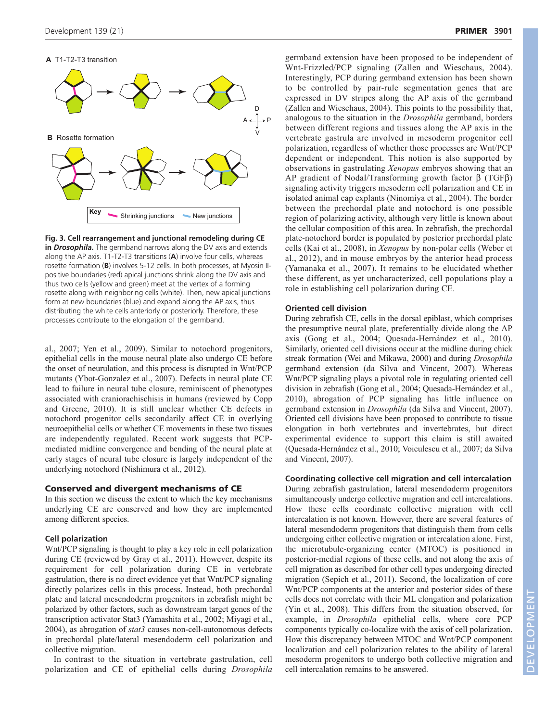#### **A** T1-T2-T3 transition



**Fig. 3. Cell rearrangement and junctional remodeling during CE in** *Drosophila***.** The germband narrows along the DV axis and extends along the AP axis. T1-T2-T3 transitions (**A**) involve four cells, whereas rosette formation (**B**) involves 5-12 cells. In both processes, at Myosin IIpositive boundaries (red) apical junctions shrink along the DV axis and thus two cells (yellow and green) meet at the vertex of a forming rosette along with neighboring cells (white). Then, new apical junctions form at new boundaries (blue) and expand along the AP axis, thus distributing the white cells anteriorly or posteriorly. Therefore, these processes contribute to the elongation of the germband.

al., 2007; Yen et al., 2009). Similar to notochord progenitors, epithelial cells in the mouse neural plate also undergo CE before the onset of neurulation, and this process is disrupted in Wnt/PCP mutants (Ybot-Gonzalez et al., 2007). Defects in neural plate CE lead to failure in neural tube closure, reminiscent of phenotypes associated with craniorachischisis in humans (reviewed by Copp and Greene, 2010). It is still unclear whether CE defects in notochord progenitor cells secondarily affect CE in overlying neuroepithelial cells or whether CE movements in these two tissues are independently regulated. Recent work suggests that PCPmediated midline convergence and bending of the neural plate at early stages of neural tube closure is largely independent of the underlying notochord (Nishimura et al., 2012).

#### **Conserved and divergent mechanisms of CE**

In this section we discuss the extent to which the key mechanisms underlying CE are conserved and how they are implemented among different species.

## **Cell polarization**

Wnt/PCP signaling is thought to play a key role in cell polarization during CE (reviewed by Gray et al., 2011). However, despite its requirement for cell polarization during CE in vertebrate gastrulation, there is no direct evidence yet that Wnt/PCP signaling directly polarizes cells in this process. Instead, both prechordal plate and lateral mesendoderm progenitors in zebrafish might be polarized by other factors, such as downstream target genes of the transcription activator Stat3 (Yamashita et al., 2002; Miyagi et al., 2004), as abrogation of *stat3* causes non-cell-autonomous defects in prechordal plate/lateral mesendoderm cell polarization and collective migration.

In contrast to the situation in vertebrate gastrulation, cell polarization and CE of epithelial cells during *Drosophila* germband extension have been proposed to be independent of Wnt-Frizzled/PCP signaling (Zallen and Wieschaus, 2004). Interestingly, PCP during germband extension has been shown to be controlled by pair-rule segmentation genes that are expressed in DV stripes along the AP axis of the germband (Zallen and Wieschaus, 2004). This points to the possibility that, analogous to the situation in the *Drosophila* germband, borders between different regions and tissues along the AP axis in the vertebrate gastrula are involved in mesoderm progenitor cell polarization, regardless of whether those processes are Wnt/PCP dependent or independent. This notion is also supported by observations in gastrulating *Xenopus* embryos showing that an AP gradient of Nodal/Transforming growth factor  $\beta$  (TGF $\beta$ ) signaling activity triggers mesoderm cell polarization and CE in isolated animal cap explants (Ninomiya et al., 2004). The border between the prechordal plate and notochord is one possible region of polarizing activity, although very little is known about the cellular composition of this area. In zebrafish, the prechordal plate-notochord border is populated by posterior prechordal plate cells (Kai et al., 2008), in *Xenopus* by non-polar cells (Weber et al., 2012), and in mouse embryos by the anterior head process (Yamanaka et al., 2007). It remains to be elucidated whether these different, as yet uncharacterized, cell populations play a role in establishing cell polarization during CE.

#### **Oriented cell division**

During zebrafish CE, cells in the dorsal epiblast, which comprises the presumptive neural plate, preferentially divide along the AP axis (Gong et al., 2004; Quesada-Hernández et al., 2010). Similarly, oriented cell divisions occur at the midline during chick streak formation (Wei and Mikawa, 2000) and during *Drosophila* germband extension (da Silva and Vincent, 2007). Whereas Wnt/PCP signaling plays a pivotal role in regulating oriented cell division in zebrafish (Gong et al., 2004; Quesada-Hernández et al., 2010), abrogation of PCP signaling has little influence on germband extension in *Drosophila* (da Silva and Vincent, 2007). Oriented cell divisions have been proposed to contribute to tissue elongation in both vertebrates and invertebrates, but direct experimental evidence to support this claim is still awaited (Quesada-Hernández et al., 2010; Voiculescu et al., 2007; da Silva and Vincent, 2007).

**Coordinating collective cell migration and cell intercalation** During zebrafish gastrulation, lateral mesendoderm progenitors simultaneously undergo collective migration and cell intercalations. How these cells coordinate collective migration with cell intercalation is not known. However, there are several features of lateral mesendoderm progenitors that distinguish them from cells undergoing either collective migration or intercalation alone. First, the microtubule-organizing center (MTOC) is positioned in posterior-medial regions of these cells, and not along the axis of cell migration as described for other cell types undergoing directed migration (Sepich et al., 2011). Second, the localization of core Wnt/PCP components at the anterior and posterior sides of these cells does not correlate with their ML elongation and polarization (Yin et al., 2008). This differs from the situation observed, for example, in *Drosophila* epithelial cells, where core PCP components typically co-localize with the axis of cell polarization. How this discrepancy between MTOC and Wnt/PCP component localization and cell polarization relates to the ability of lateral mesoderm progenitors to undergo both collective migration and cell intercalation remains to be answered.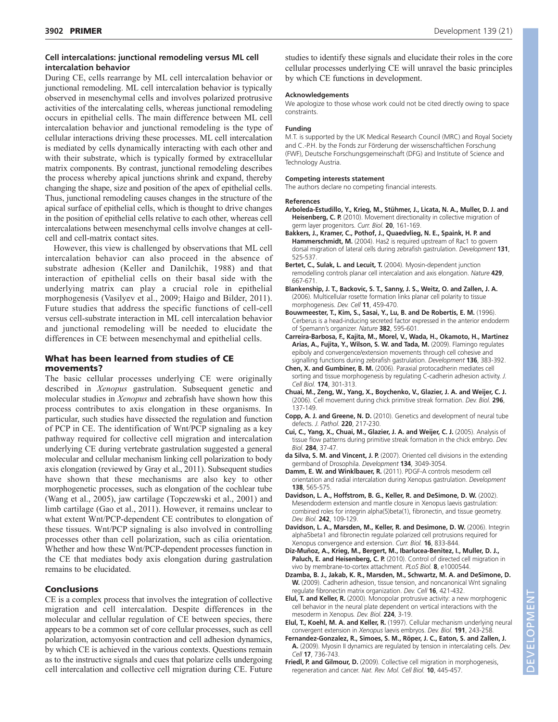# **Cell intercalations: junctional remodeling versus ML cell intercalation behavior**

During CE, cells rearrange by ML cell intercalation behavior or junctional remodeling. ML cell intercalation behavior is typically observed in mesenchymal cells and involves polarized protrusive activities of the intercalating cells, whereas junctional remodeling occurs in epithelial cells. The main difference between ML cell intercalation behavior and junctional remodeling is the type of cellular interactions driving these processes. ML cell intercalation is mediated by cells dynamically interacting with each other and with their substrate, which is typically formed by extracellular matrix components. By contrast, junctional remodeling describes the process whereby apical junctions shrink and expand, thereby changing the shape, size and position of the apex of epithelial cells. Thus, junctional remodeling causes changes in the structure of the apical surface of epithelial cells, which is thought to drive changes in the position of epithelial cells relative to each other, whereas cell intercalations between mesenchymal cells involve changes at cellcell and cell-matrix contact sites.

However, this view is challenged by observations that ML cell intercalation behavior can also proceed in the absence of substrate adhesion (Keller and Danilchik, 1988) and that interaction of epithelial cells on their basal side with the underlying matrix can play a crucial role in epithelial morphogenesis (Vasilyev et al., 2009; Haigo and Bilder, 2011). Future studies that address the specific functions of cell-cell versus cell-substrate interaction in ML cell intercalation behavior and junctional remodeling will be needed to elucidate the differences in CE between mesenchymal and epithelial cells.

# **What has been learned from studies of CE movements?**

The basic cellular processes underlying CE were originally described in *Xenopus* gastrulation. Subsequent genetic and molecular studies in *Xenopus* and zebrafish have shown how this process contributes to axis elongation in these organisms. In particular, such studies have dissected the regulation and function of PCP in CE. The identification of Wnt/PCP signaling as a key pathway required for collective cell migration and intercalation underlying CE during vertebrate gastrulation suggested a general molecular and cellular mechanism linking cell polarization to body axis elongation (reviewed by Gray et al., 2011). Subsequent studies have shown that these mechanisms are also key to other morphogenetic processes, such as elongation of the cochlear tube (Wang et al., 2005), jaw cartilage (Topczewski et al., 2001) and limb cartilage (Gao et al., 2011). However, it remains unclear to what extent Wnt/PCP-dependent CE contributes to elongation of these tissues. Wnt/PCP signaling is also involved in controlling processes other than cell polarization, such as cilia orientation. Whether and how these Wnt/PCP-dependent processes function in the CE that mediates body axis elongation during gastrulation remains to be elucidated.

# **Conclusions**

CE is a complex process that involves the integration of collective migration and cell intercalation. Despite differences in the molecular and cellular regulation of CE between species, there appears to be a common set of core cellular processes, such as cell polarization, actomyosin contraction and cell adhesion dynamics, by which CE is achieved in the various contexts. Questions remain as to the instructive signals and cues that polarize cells undergoing cell intercalation and collective cell migration during CE. Future studies to identify these signals and elucidate their roles in the core cellular processes underlying CE will unravel the basic principles by which CE functions in development.

#### **Acknowledgements**

We apologize to those whose work could not be cited directly owing to space constraints.

#### **Funding**

M.T. is supported by the UK Medical Research Council (MRC) and Royal Society and C.-P.H. by the Fonds zur Förderung der wissenschaftlichen Forschung (FWF), Deutsche Forschungsgemeinschaft (DFG) and Institute of Science and Technology Austria.

#### **Competing interests statement**

The authors declare no competing financial interests.

#### **References**

- **Arboleda-Estudillo, Y., Krieg, M., Stühmer, J., Licata, N. A., Muller, D. J. and Heisenberg, C. P.** (2010). Movement directionality in collective migration of germ layer progenitors. *Curr. Biol.* **20**, 161-169.
- **Bakkers, J., Kramer, C., Pothof, J., Quaedvlieg, N. E., Spaink, H. P. and** Hammerschmidt, M. (2004). Has2 is required upstream of Rac1 to govern dorsal migration of lateral cells during zebrafish gastrulation. *Development* **131**, 525-537.
- **Bertet, C., Sulak, L. and Lecuit, T.** (2004). Myosin-dependent junction remodelling controls planar cell intercalation and axis elongation. *Nature* **429**, 667-671.
- **Blankenship, J. T., Backovic, S. T., Sanny, J. S., Weitz, O. and Zallen, J. A.** (2006). Multicellular rosette formation links planar cell polarity to tissue morphogenesis. *Dev. Cell* **11**, 459-470.
- **Bouwmeester, T., Kim, S., Sasai, Y., Lu, B. and De Robertis, E. M.** (1996). Cerberus is a head-inducing secreted factor expressed in the anterior endoderm of Spemann's organizer. *Nature* **382**, 595-601.
- **Carreira-Barbosa, F., Kajita, M., Morel, V., Wada, H., Okamoto, H., Martinez Arias, A., Fujita, Y., Wilson, S. W. and Tada, M.** (2009). Flamingo regulates epiboly and convergence/extension movements through cell cohesive and signalling functions during zebrafish gastrulation. *Development* **136**, 383-392.
- **Chen, X. and Gumbiner, B. M.** (2006). Paraxial protocadherin mediates cell sorting and tissue morphogenesis by regulating C-cadherin adhesion activity. *J. Cell Biol.* **174**, 301-313.
- **Chuai, M., Zeng, W., Yang, X., Boychenko, V., Glazier, J. A. and Weijer, C. J.** (2006). Cell movement during chick primitive streak formation. *Dev. Biol.* **296**, 137-149.
- **Copp, A. J. and Greene, N. D.** (2010). Genetics and development of neural tube defects. *J. Pathol.* **220**, 217-230.
- **Cui, C., Yang, X., Chuai, M., Glazier, J. A. and Weijer, C. J.** (2005). Analysis of tissue flow patterns during primitive streak formation in the chick embryo. *Dev. Biol.* **284**, 37-47.
- **da Silva, S. M. and Vincent, J. P.** (2007). Oriented cell divisions in the extending germband of Drosophila. *Development* **134**, 3049-3054.
- **Damm, E. W. and Winklbauer, R.** (2011). PDGF-A controls mesoderm cell orientation and radial intercalation during Xenopus gastrulation. *Development* **138**, 565-575.
- **Davidson, L. A., Hoffstrom, B. G., Keller, R. and DeSimone, D. W.** (2002). Mesendoderm extension and mantle closure in Xenopus laevis gastrulation: combined roles for integrin alpha(5)beta(1), fibronectin, and tissue geometry. *Dev. Biol.* **242**, 109-129.
- **Davidson, L. A., Marsden, M., Keller, R. and Desimone, D. W.** (2006). Integrin alpha5beta1 and fibronectin regulate polarized cell protrusions required for Xenopus convergence and extension. *Curr. Biol.* **16**, 833-844.
- **Diz-Muñoz, A., Krieg, M., Bergert, M., Ibarlucea-Benitez, I., Muller, D. J.,** Paluch, E. and Heisenberg, C. P. (2010). Control of directed cell migration in vivo by membrane-to-cortex attachment. *PLoS Biol.* **8**, e1000544.
- **Dzamba, B. J., Jakab, K. R., Marsden, M., Schwartz, M. A. and DeSimone, D. W.** (2009). Cadherin adhesion, tissue tension, and noncanonical Wnt signaling regulate fibronectin matrix organization. *Dev. Cell* **16**, 421-432.
- **Elul, T. and Keller, R.** (2000). Monopolar protrusive activity: a new morphogenic cell behavior in the neural plate dependent on vertical interactions with the mesoderm in Xenopus*. Dev. Biol.* **224**, 3-19.
- **Elul, T., Koehl, M. A. and Keller, R.** (1997). Cellular mechanism underlying neural convergent extension in *Xenopus* laevis embryos. *Dev. Biol.* **191**, 243-258.
- **Fernandez-Gonzalez, R., Simoes, S. M., Röper, J. C., Eaton, S. and Zallen, J. A.** (2009). Myosin II dynamics are regulated by tension in intercalating cells. *Dev. Cell* **17**, 736-743.
- **Friedl, P. and Gilmour, D.** (2009). Collective cell migration in morphogenesis, regeneration and cancer. *Nat. Rev. Mol. Cell Biol.* **10**, 445-457.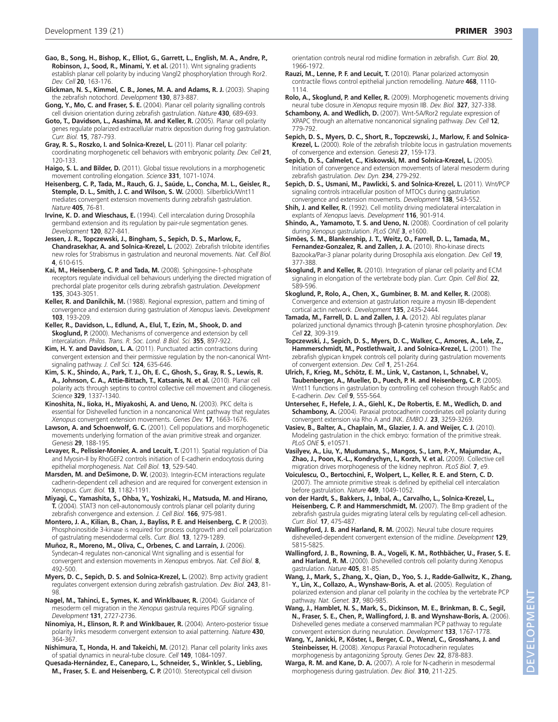**Gao, B., Song, H., Bishop, K., Elliot, G., Garrett, L., English, M. A., Andre, P., Robinson, J., Sood, R., Minami, Y. et al.** (2011). Wnt signaling gradients establish planar cell polarity by inducing Vangl2 phosphorylation through Ror2. *Dev. Cell* **20**, 163-176.

**Glickman, N. S., Kimmel, C. B., Jones, M. A. and Adams, R. J.** (2003). Shaping the zebrafish notochord. *Development* **130**, 873-887.

**Gong, Y., Mo, C. and Fraser, S. E.** (2004). Planar cell polarity signalling controls cell division orientation during zebrafish gastrulation. *Nature* **430**, 689-693.

**Goto, T., Davidson, L., Asashima, M. and Keller, R.** (2005). Planar cell polarity genes regulate polarized extracellular matrix deposition during frog gastrulation. *Curr. Biol.* **15**, 787-793.

**Gray, R. S., Roszko, I. and Solnica-Krezel, L.** (2011). Planar cell polarity: coordinating morphogenetic cell behaviors with embryonic polarity. *Dev. Cell* **21**, 120-133.

**Haigo, S. L. and Bilder, D.** (2011). Global tissue revolutions in a morphogenetic movement controlling elongation. *Science* **331**, 1071-1074.

**Heisenberg, C. P., Tada, M., Rauch, G. J., Saúde, L., Concha, M. L., Geisler, R., Stemple, D. L., Smith, J. C. and Wilson, S. W.** (2000). Silberblick/Wnt11 mediates convergent extension movements during zebrafish gastrulation. *Nature* **405**, 76-81.

**Irvine, K. D. and Wieschaus, E.** (1994). Cell intercalation during Drosophila germband extension and its regulation by pair-rule segmentation genes. *Development* **120**, 827-841.

**Jessen, J. R., Topczewski, J., Bingham, S., Sepich, D. S., Marlow, F., Chandrasekhar, A. and Solnica-Krezel, L.** (2002). Zebrafish trilobite identifies new roles for Strabismus in gastrulation and neuronal movements. *Nat. Cell Biol.* **4**, 610-615.

**Kai, M., Heisenberg, C. P. and Tada, M.** (2008). Sphingosine-1-phosphate receptors regulate individual cell behaviours underlying the directed migration of prechordal plate progenitor cells during zebrafish gastrulation. *Development* **135**, 3043-3051.

**Keller, R. and Danilchik, M.** (1988). Regional expression, pattern and timing of convergence and extension during gastrulation of *Xenopus* laevis. *Development* **103**, 193-209.

**Keller, R., Davidson, L., Edlund, A., Elul, T., Ezin, M., Shook, D. and Skoglund, P.** (2000). Mechanisms of convergence and extension by cell intercalation. *Philos. Trans. R. Soc. Lond. B Biol. Sci.* **355**, 897-922.

**Kim, H. Y. and Davidson, L. A.** (2011). Punctuated actin contractions during convergent extension and their permissive regulation by the non-canonical Wntsignaling pathway. *J. Cell Sci.* **124**, 635-646.

**Kim, S. K., Shindo, A., Park, T. J., Oh, E. C., Ghosh, S., Gray, R. S., Lewis, R. A., Johnson, C. A., Attie-Bittach, T., Katsanis, N. et al.** (2010). Planar cell polarity acts through septins to control collective cell movement and ciliogenesis. *Science* **329**, 1337-1340.

**Kinoshita, N., Iioka, H., Miyakoshi, A. and Ueno, N.** (2003). PKC delta is essential for Dishevelled function in a noncanonical Wnt pathway that regulates *Xenopus* convergent extension movements. *Genes Dev.* **17**, 1663-1676.

**Lawson, A. and Schoenwolf, G. C.** (2001). Cell populations and morphogenetic movements underlying formation of the avian primitive streak and organizer. *Genesis* **29**, 188-195.

**Levayer, R., Pelissier-Monier, A. and Lecuit, T.** (2011). Spatial regulation of Dia and Myosin-II by RhoGEF2 controls initiation of E-cadherin endocytosis during epithelial morphogenesis. *Nat. Cell Biol.* **13**, 529-540.

**Marsden, M. and DeSimone, D. W.** (2003). Integrin-ECM interactions regulate cadherin-dependent cell adhesion and are required for convergent extension in Xenopus*. Curr. Biol.* **13**, 1182-1191.

**Miyagi, C., Yamashita, S., Ohba, Y., Yoshizaki, H., Matsuda, M. and Hirano, T.** (2004). STAT3 non cell-autonomously controls planar cell polarity during zebrafish convergence and extension. *J. Cell Biol.* **166**, 975-981.

**Montero, J. A., Kilian, B., Chan, J., Bayliss, P. E. and Heisenberg, C. P.** (2003). Phosphoinositide 3-kinase is required for process outgrowth and cell polarization of gastrulating mesendodermal cells. *Curr. Biol.* **13**, 1279-1289.

**Muñoz, R., Moreno, M., Oliva, C., Orbenes, C. and Larraín, J.** (2006). Syndecan-4 regulates non-canonical Wnt signalling and is essential for convergent and extension movements in *Xenopus* embryos. *Nat. Cell Biol.* **8**, 492-500.

**Myers, D. C., Sepich, D. S. and Solnica-Krezel, L.** (2002). Bmp activity gradient regulates convergent extension during zebrafish gastrulation. *Dev. Biol.* **243**, 81- 98.

**Nagel, M., Tahinci, E., Symes, K. and Winklbauer, R.** (2004). Guidance of mesoderm cell migration in the *Xenopus* gastrula requires PDGF signaling. *Development* **131**, 2727-2736.

**Ninomiya, H., Elinson, R. P. and Winklbauer, R.** (2004). Antero-posterior tissue polarity links mesoderm convergent extension to axial patterning. *Nature* **430**, 364-367.

**Nishimura, T., Honda, H. and Takeichi, M.** (2012). Planar cell polarity links axes of spatial dynamics in neural-tube closure. *Cell* **149**, 1084-1097.

**Quesada-Hernández, E., Caneparo, L., Schneider, S., Winkler, S., Liebling, M., Fraser, S. E. and Heisenberg, C. P.** (2010). Stereotypical cell division

orientation controls neural rod midline formation in zebrafish. *Curr. Biol.* **20**, 1966-1972.

**Rauzi, M., Lenne, P. F. and Lecuit, T.** (2010). Planar polarized actomyosin contractile flows control epithelial junction remodelling. *Nature* **468**, 1110- 1114.

**Rolo, A., Skoglund, P. and Keller, R.** (2009). Morphogenetic movements driving neural tube closure in *Xenopus* require myosin IIB. *Dev. Biol.* **327**, 327-338.

**Schambony, A. and Wedlich, D.** (2007). Wnt-5A/Ror2 regulate expression of XPAPC through an alternative noncanonical signaling pathway. *Dev. Cell* **12**, 779-792.

**Sepich, D. S., Myers, D. C., Short, R., Topczewski, J., Marlow, F. and Solnica-Krezel, L.** (2000). Role of the zebrafish trilobite locus in gastrulation movements of convergence and extension. *Genesis* **27**, 159-173.

**Sepich, D. S., Calmelet, C., Kiskowski, M. and Solnica-Krezel, L.** (2005). Initiation of convergence and extension movements of lateral mesoderm during zebrafish gastrulation. *Dev. Dyn.* **234**, 279-292.

**Sepich, D. S., Usmani, M., Pawlicki, S. and Solnica-Krezel, L.** (2011). Wnt/PCP signaling controls intracellular position of MTOCs during gastrulation convergence and extension movements. *Development* **138**, 543-552.

**Shih, J. and Keller, R.** (1992). Cell motility driving mediolateral intercalation in explants of *Xenopus* laevis. *Development* **116**, 901-914.

**Shindo, A., Yamamoto, T. S. and Ueno, N.** (2008). Coordination of cell polarity during *Xenopus* gastrulation. *PLoS ONE* **3**, e1600.

**Simões, S. M., Blankenship, J. T., Weitz, O., Farrell, D. L., Tamada, M., Fernandez-Gonzalez, R. and Zallen, J. A.** (2010). Rho-kinase directs Bazooka/Par-3 planar polarity during Drosophila axis elongation. *Dev. Cell* **19**, 377-388.

**Skoglund, P. and Keller, R.** (2010). Integration of planar cell polarity and ECM signaling in elongation of the vertebrate body plan. *Curr. Opin. Cell Biol.* **22**, 589-596.

**Skoglund, P., Rolo, A., Chen, X., Gumbiner, B. M. and Keller, R.** (2008). Convergence and extension at gastrulation require a myosin IIB-dependent cortical actin network. *Development* **135**, 2435-2444.

**Tamada, M., Farrell, D. L. and Zallen, J. A.** (2012). Abl regulates planar polarized junctional dynamics through β-catenin tyrosine phosphorylation. Dev. *Cell* **22**, 309-319.

**Topczewski, J., Sepich, D. S., Myers, D. C., Walker, C., Amores, A., Lele, Z., Hammerschmidt, M., Postlethwait, J. and Solnica-Krezel, L.** (2001). The zebrafish glypican knypek controls cell polarity during gastrulation movements of convergent extension. *Dev. Cell* **1**, 251-264.

**Ulrich, F., Krieg, M., Schötz, E. M., Link, V., Castanon, I., Schnabel, V., Taubenberger, A., Mueller, D., Puech, P. H. and Heisenberg, C. P.** (2005). Wnt11 functions in gastrulation by controlling cell cohesion through Rab5c and E-cadherin. *Dev. Cell* **9**, 555-564.

**Unterseher, F., Hefele, J. A., Giehl, K., De Robertis, E. M., Wedlich, D. and Schambony, A.** (2004). Paraxial protocadherin coordinates cell polarity during convergent extension via Rho A and JNK. *EMBO J.* **23**, 3259-3269.

**Vasiev, B., Balter, A., Chaplain, M., Glazier, J. A. and Weijer, C. J.** (2010). Modeling gastrulation in the chick embryo: formation of the primitive streak. *PLoS ONE* **5**, e10571.

**Vasilyev, A., Liu, Y., Mudumana, S., Mangos, S., Lam, P.-Y., Majumdar, A., Zhao, J., Poon, K.-L., Kondrychyn, I., Korzh, V. et al.** (2009). Collective cell migration drives morphogenesis of the kidney nephron. *PLoS Biol.* **7**, e9.

**Voiculescu, O., Bertocchini, F., Wolpert, L., Keller, R. E. and Stern, C. D.** (2007). The amniote primitive streak is defined by epithelial cell intercalation before gastrulation. *Nature* **449**, 1049-1052.

**von der Hardt, S., Bakkers, J., Inbal, A., Carvalho, L., Solnica-Krezel, L., Heisenberg, C. P. and Hammerschmidt, M.** (2007). The Bmp gradient of the zebrafish gastrula guides migrating lateral cells by regulating cell-cell adhesion. *Curr. Biol.* **17**, 475-487.

**Wallingford, J. B. and Harland, R. M.** (2002). Neural tube closure requires dishevelled-dependent convergent extension of the midline. *Development* **129**, 5815-5825.

**Wallingford, J. B., Rowning, B. A., Vogeli, K. M., Rothbächer, U., Fraser, S. E. and Harland, R. M.** (2000). Dishevelled controls cell polarity during Xenopus gastrulation. *Nature* **405**, 81-85.

**Wang, J., Mark, S., Zhang, X., Qian, D., Yoo, S. J., Radde-Gallwitz, K., Zhang, Y., Lin, X., Collazo, A., Wynshaw-Boris, A. et al.** (2005). Regulation of polarized extension and planar cell polarity in the cochlea by the vertebrate PCP pathway. *Nat. Genet.* **37**, 980-985.

**Wang, J., Hamblet, N. S., Mark, S., Dickinson, M. E., Brinkman, B. C., Segil, N., Fraser, S. E., Chen, P., Wallingford, J. B. and Wynshaw-Boris, A.** (2006). Dishevelled genes mediate a conserved mammalian PCP pathway to regulate convergent extension during neurulation. *Development* **133**, 1767-1778.

**Wang, Y., Janicki, P., Köster, I., Berger, C. D., Wenzl, C., Grosshans, J. and Steinbeisser, H.** (2008). *Xenopus* Paraxial Protocadherin regulates morphogenesis by antagonizing Sprouty. *Genes Dev.* **22**, 878-883.

**Warga, R. M. and Kane, D. A.** (2007). A role for N-cadherin in mesodermal morphogenesis during gastrulation. *Dev. Biol.* **310**, 211-225.